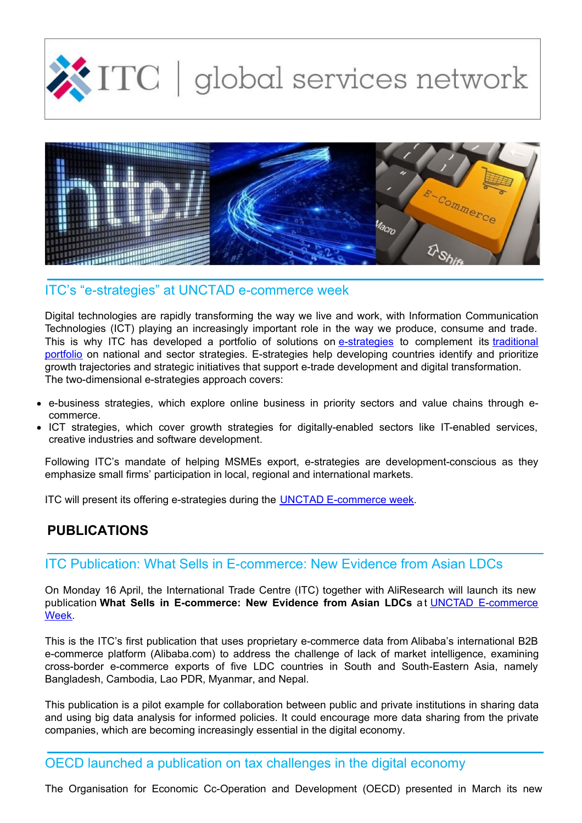



### ITC's "e-strategies" at UNCTAD e-commerce week

Digital technologies are rapidly transforming the way we live and work, with Information Communication Technologies (ICT) playing an increasingly important role in the way we produce, consume and trade. This is why ITC has developed a portfolio of solutions on [e-strategies](http://www.intracen.org/itc/trade-strategy/e-Strategies/) to [complement](http://www.intracen.org/itc/trade-strategy/) its traditional portfolio on national and sector strategies. E-strategies help developing countries identify and prioritize growth trajectories and strategic initiatives that support e-trade development and digital transformation. The two-dimensional e-strategies approach covers:

- e-business strategies, which explore online business in priority sectors and value chains through ecommerce.
- ICT strategies, which cover growth strategies for digitally-enabled sectors like IT-enabled services, creative industries and software development.

Following ITC's mandate of helping MSMEs export, e-strategies are development-conscious as they emphasize small firms' participation in local, regional and international markets.

ITC will present its offering e-strategies during the UNCTAD [E-commerce](http://unctad.org/en/conferences/e-week2018/Pages/default.aspx) week.

## **PUBLICATIONS**

## ITC Publication: What Sells in E-commerce: New Evidence from Asian LDCs

On Monday 16 April, the International Trade Centre (ITC) together with AliResearch will launch its new publication **What Sells in [E-commerce:](http://unctad.org/en/conferences/e-week2018/Pages/MeetingDetails.aspx?meetingid=1798) New Evidence from Asian LDCs** a t UNCTAD E-commerce Week.

This is the ITC's first publication that uses proprietary e-commerce data from Alibaba's international B2B e-commerce platform (Alibaba.com) to address the challenge of lack of market intelligence, examining cross-border e-commerce exports of five LDC countries in South and South-Eastern Asia, namely Bangladesh, Cambodia, Lao PDR, Myanmar, and Nepal.

This publication is a pilot example for collaboration between public and private institutions in sharing data and using big data analysis for informed policies. It could encourage more data sharing from the private companies, which are becoming increasingly essential in the digital economy.

OECD launched a publication on tax challenges in the digital economy

The Organisation for Economic Cc-Operation and Development (OECD) presented in March its new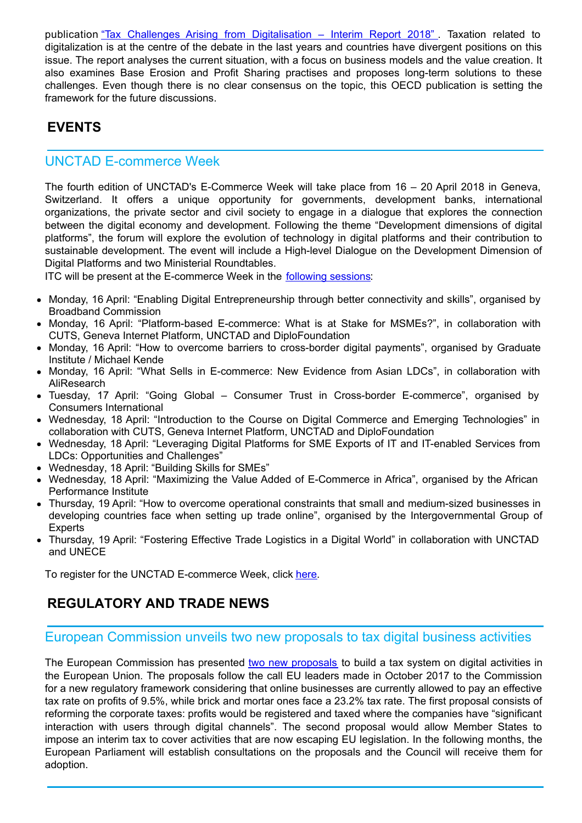publication "Tax Challenges Arising from [Digitalisation](http://www.oecd.org/tax/tax-challenges-arising-from-digitalisation-interim-report-9789264293083-en.htm) – Interim Report 2018" . Taxation related to digitalization is at the centre of the debate in the last years and countries have divergent positions on this issue. The report analyses the current situation, with a focus on business models and the value creation. It also examines Base Erosion and Profit Sharing practises and proposes long-term solutions to these challenges. Even though there is no clear consensus on the topic, this OECD publication is setting the framework for the future discussions.

# **EVENTS**

## UNCTAD E-commerce Week

The fourth edition of UNCTAD's E-Commerce Week will take place from 16 – 20 April 2018 in Geneva, Switzerland. It offers a unique opportunity for governments, development banks, international organizations, the private sector and civil society to engage in a dialogue that explores the connection between the digital economy and development. Following the theme "Development dimensions of digital platforms", the forum will explore the evolution of technology in digital platforms and their contribution to sustainable development. The event will include a High-level Dialogue on the Development Dimension of Digital Platforms and two Ministerial Roundtables.

ITC will be present at the E-commerce Week in the [following](http://www.intracen.org/uploadedFiles/intracenorg/Content/Redesign/Events/Event_Banner/ITC@UNCTAD e-commerce week 2018_.pdf) sessions:

- Monday, 16 April: "Enabling Digital Entrepreneurship through better connectivity and skills", organised by  $\bullet$ Broadband Commission
- Monday, 16 April: "Platform-based E-commerce: What is at Stake for MSMEs?", in collaboration with CUTS, Geneva Internet Platform, UNCTAD and DiploFoundation
- Monday, 16 April: "How to overcome barriers to cross-border digital payments", organised by Graduate Institute / Michael Kende
- Monday, 16 April: "What Sells in E-commerce: New Evidence from Asian LDCs", in collaboration with **AliResearch**
- Tuesday, 17 April: "Going Global Consumer Trust in Cross-border E-commerce", organised by Consumers International
- Wednesday, 18 April: "Introduction to the Course on Digital Commerce and Emerging Technologies" in collaboration with CUTS, Geneva Internet Platform, UNCTAD and DiploFoundation
- Wednesday, 18 April: "Leveraging Digital Platforms for SME Exports of IT and IT-enabled Services from LDCs: Opportunities and Challenges"
- Wednesday, 18 April: "Building Skills for SMEs"
- Wednesday, 18 April: "Maximizing the Value Added of E-Commerce in Africa", organised by the African Performance Institute
- Thursday, 19 April: "How to overcome operational constraints that small and medium-sized businesses in developing countries face when setting up trade online", organised by the Intergovernmental Group of **Experts**
- Thursday, 19 April: "Fostering Effective Trade Logistics in a Digital World" in collaboration with UNCTAD and UNECE

To register for the UNCTAD E-commerce Week, click [here](https://reg.unog.ch/event/23057/registration/).

# **REGULATORY AND TRADE NEWS**

#### European Commission unveils two new proposals to tax digital business activities

The European Commission has presented two new [proposals](http://europa.eu/rapid/press-release_IP-18-2041_en.htm) to build a tax system on digital activities in the European Union. The proposals follow the call EU leaders made in October 2017 to the Commission for a new regulatory framework considering that online businesses are currently allowed to pay an effective tax rate on profits of 9.5%, while brick and mortar ones face a 23.2% tax rate. The first proposal consists of reforming the corporate taxes: profits would be registered and taxed where the companies have "significant interaction with users through digital channels". The second proposal would allow Member States to impose an interim tax to cover activities that are now escaping EU legislation. In the following months, the European Parliament will establish consultations on the proposals and the Council will receive them for adoption.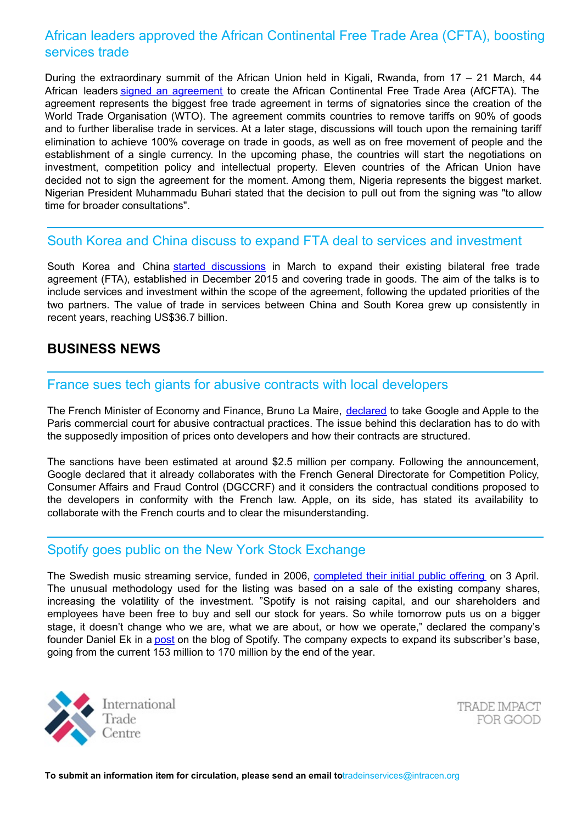## African leaders approved the African Continental Free Trade Area (CFTA), boosting services trade

During the extraordinary summit of the African Union held in Kigali, Rwanda, from 17 – 21 March, 44 African leaders signed an [agreement](https://www.aljazeera.com/news/2018/03/african-leaders-sign-continental-free-trade-agreement-180320180017027.html) to create the African Continental Free Trade Area (AfCFTA). The agreement represents the biggest free trade agreement in terms of signatories since the creation of the World Trade Organisation (WTO). The agreement commits countries to remove tariffs on 90% of goods and to further liberalise trade in services. At a later stage, discussions will touch upon the remaining tariff elimination to achieve 100% coverage on trade in goods, as well as on free movement of people and the establishment of a single currency. In the upcoming phase, the countries will start the negotiations on investment, competition policy and intellectual property. Eleven countries of the African Union have decided not to sign the agreement for the moment. Among them, Nigeria represents the biggest market. Nigerian President Muhammadu Buhari stated that the decision to pull out from the signing was "to allow time for broader consultations".

#### South Korea and China discuss to expand FTA deal to services and investment

South Korea and China started [discussions](http://english.yonhapnews.co.kr/business/2018/03/21/0502000000AEN20180321011252320.html) in March to expand their existing bilateral free trade agreement (FTA), established in December 2015 and covering trade in goods. The aim of the talks is to include services and investment within the scope of the agreement, following the updated priorities of the two partners. The value of trade in services between China and South Korea grew up consistently in recent years, reaching US\$36.7 billion.

### **BUSINESS NEWS**

#### France sues tech giants for abusive contracts with local developers

The French Minister of Economy and Finance, Bruno La Maire, [declared](https://www.bloomberg.com/news/articles/2018-03-14/france-to-take-action-v-google-apple-for-commercial-practices) to take Google and Apple to the Paris commercial court for abusive contractual practices. The issue behind this declaration has to do with the supposedly imposition of prices onto developers and how their contracts are structured.

The sanctions have been estimated at around \$2.5 million per company. Following the announcement, Google declared that it already collaborates with the French General Directorate for Competition Policy, Consumer Affairs and Fraud Control (DGCCRF) and it considers the contractual conditions proposed to the developers in conformity with the French law. Apple, on its side, has stated its availability to collaborate with the French courts and to clear the misunderstanding.

#### Spotify goes public on the New York Stock Exchange

The Swedish music streaming service, funded in 2006, [completed](https://www.theguardian.com/technology/2018/apr/03/spotify-ipo-flag-error-swiss-sweden-first-day-trading) their initial public offering on 3 April. The unusual methodology used for the listing was based on a sale of the existing company shares, increasing the volatility of the investment. "Spotify is not raising capital, and our shareholders and employees have been free to buy and sell our stock for years. So while tomorrow puts us on a bigger stage, it doesn't change who we are, what we are about, or how we operate," declared the company's founder Daniel Ek in a [post](https://newsroom.spotify.com/2018-04-02/tomorrow/ ) on the blog of Spotify. The company expects to expand its subscriber's base, going from the current 153 million to 170 million by the end of the year.



TRADE IMPACT FOR GOOD